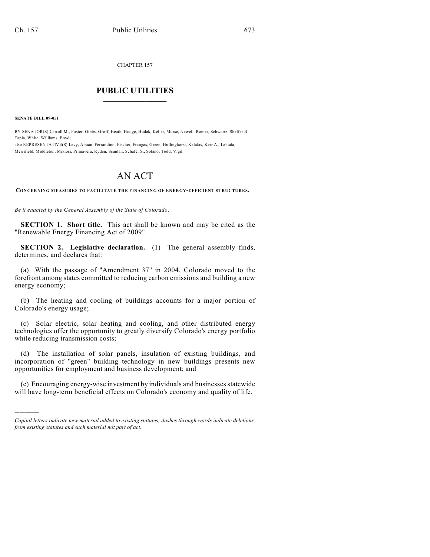CHAPTER 157

## $\mathcal{L}_\text{max}$  . The set of the set of the set of the set of the set of the set of the set of the set of the set of the set of the set of the set of the set of the set of the set of the set of the set of the set of the set **PUBLIC UTILITIES** \_\_\_\_\_\_\_\_\_\_\_\_\_\_\_

**SENATE BILL 09-051**

)))))

BY SENATOR(S) Carroll M., Foster, Gibbs, Groff, Heath, Hodge, Hudak, Keller, Morse, Newell, Romer, Schwartz, Shaffer B., Tapia, White, Williams, Boyd;

also REPRESENTATIVE(S) Levy, Apuan, Ferrandino, Fischer, Frangas, Green, Hullinghorst, Kefalas, Kerr A., Labuda, Merrifield, Middleton, Miklosi, Primavera, Ryden, Scanlan, Schafer S., Solano, Todd, Vigil.

# AN ACT

**CONCERNING MEASURES TO FACILITATE THE FINANCING OF ENERGY-EFFICIENT STRUCTURES.**

*Be it enacted by the General Assembly of the State of Colorado:*

**SECTION 1. Short title.** This act shall be known and may be cited as the "Renewable Energy Financing Act of 2009".

**SECTION 2. Legislative declaration.** (1) The general assembly finds, determines, and declares that:

(a) With the passage of "Amendment 37" in 2004, Colorado moved to the forefront among states committed to reducing carbon emissions and building a new energy economy;

(b) The heating and cooling of buildings accounts for a major portion of Colorado's energy usage;

(c) Solar electric, solar heating and cooling, and other distributed energy technologies offer the opportunity to greatly diversify Colorado's energy portfolio while reducing transmission costs;

(d) The installation of solar panels, insulation of existing buildings, and incorporation of "green" building technology in new buildings presents new opportunities for employment and business development; and

(e) Encouraging energy-wise investment by individuals and businesses statewide will have long-term beneficial effects on Colorado's economy and quality of life.

*Capital letters indicate new material added to existing statutes; dashes through words indicate deletions from existing statutes and such material not part of act.*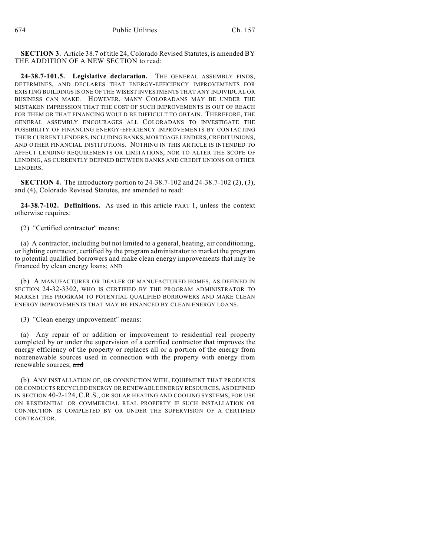**SECTION 3.** Article 38.7 of title 24, Colorado Revised Statutes, is amended BY THE ADDITION OF A NEW SECTION to read:

**24-38.7-101.5. Legislative declaration.** THE GENERAL ASSEMBLY FINDS, DETERMINES, AND DECLARES THAT ENERGY-EFFICIENCY IMPROVEMENTS FOR EXISTING BUILDINGS IS ONE OF THE WISEST INVESTMENTS THAT ANY INDIVIDUAL OR BUSINESS CAN MAKE. HOWEVER, MANY COLORADANS MAY BE UNDER THE MISTAKEN IMPRESSION THAT THE COST OF SUCH IMPROVEMENTS IS OUT OF REACH FOR THEM OR THAT FINANCING WOULD BE DIFFICULT TO OBTAIN. THEREFORE, THE GENERAL ASSEMBLY ENCOURAGES ALL COLORADANS TO INVESTIGATE THE POSSIBILITY OF FINANCING ENERGY-EFFICIENCY IMPROVEMENTS BY CONTACTING THEIR CURRENT LENDERS, INCLUDING BANKS, MORTGAGE LENDERS, CREDIT UNIONS, AND OTHER FINANCIAL INSTITUTIONS. NOTHING IN THIS ARTICLE IS INTENDED TO AFFECT LENDING REQUIREMENTS OR LIMITATIONS, NOR TO ALTER THE SCOPE OF LENDING, AS CURRENTLY DEFINED BETWEEN BANKS AND CREDIT UNIONS OR OTHER LENDERS.

**SECTION 4.** The introductory portion to 24-38.7-102 and 24-38.7-102 (2), (3), and (4), Colorado Revised Statutes, are amended to read:

**24-38.7-102. Definitions.** As used in this article PART 1, unless the context otherwise requires:

(2) "Certified contractor" means:

(a) A contractor, including but not limited to a general, heating, air conditioning, or lighting contractor, certified by the program administrator to market the program to potential qualified borrowers and make clean energy improvements that may be financed by clean energy loans; AND

(b) A MANUFACTURER OR DEALER OF MANUFACTURED HOMES, AS DEFINED IN SECTION 24-32-3302, WHO IS CERTIFIED BY THE PROGRAM ADMINISTRATOR TO MARKET THE PROGRAM TO POTENTIAL QUALIFIED BORROWERS AND MAKE CLEAN ENERGY IMPROVEMENTS THAT MAY BE FINANCED BY CLEAN ENERGY LOANS.

(3) "Clean energy improvement" means:

(a) Any repair of or addition or improvement to residential real property completed by or under the supervision of a certified contractor that improves the energy efficiency of the property or replaces all or a portion of the energy from nonrenewable sources used in connection with the property with energy from renewable sources; and

(b) ANY INSTALLATION OF, OR CONNECTION WITH, EQUIPMENT THAT PRODUCES OR CONDUCTS RECYCLED ENERGY OR RENEWABLE ENERGY RESOURCES, AS DEFINED IN SECTION 40-2-124, C.R.S., OR SOLAR HEATING AND COOLING SYSTEMS, FOR USE ON RESIDENTIAL OR COMMERCIAL REAL PROPERTY IF SUCH INSTALLATION OR CONNECTION IS COMPLETED BY OR UNDER THE SUPERVISION OF A CERTIFIED CONTRACTOR.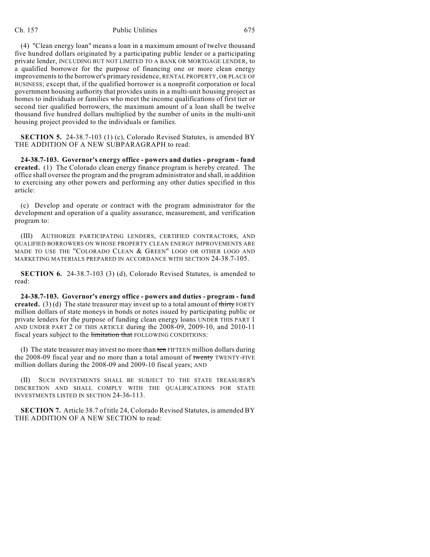## Ch. 157 Public Utilities 675

(4) "Clean energy loan" means a loan in a maximum amount of twelve thousand five hundred dollars originated by a participating public lender or a participating private lender, INCLUDING BUT NOT LIMITED TO A BANK OR MORTGAGE LENDER, to a qualified borrower for the purpose of financing one or more clean energy improvements to the borrower's primary residence, RENTAL PROPERTY, OR PLACE OF BUSINESS; except that, if the qualified borrower is a nonprofit corporation or local government housing authority that provides units in a multi-unit housing project as homes to individuals or families who meet the income qualifications of first tier or second tier qualified borrowers, the maximum amount of a loan shall be twelve thousand five hundred dollars multiplied by the number of units in the multi-unit housing project provided to the individuals or families.

**SECTION 5.** 24-38.7-103 (1) (c), Colorado Revised Statutes, is amended BY THE ADDITION OF A NEW SUBPARAGRAPH to read:

**24-38.7-103. Governor's energy office - powers and duties - program - fund created.** (1) The Colorado clean energy finance program is hereby created. The office shall oversee the program and the program administrator and shall, in addition to exercising any other powers and performing any other duties specified in this article:

(c) Develop and operate or contract with the program administrator for the development and operation of a quality assurance, measurement, and verification program to:

(III) AUTHORIZE PARTICIPATING LENDERS, CERTIFIED CONTRACTORS, AND QUALIFIED BORROWERS ON WHOSE PROPERTY CLEAN ENERGY IMPROVEMENTS ARE MADE TO USE THE "COLORADO CLEAN & GREEN" LOGO OR OTHER LOGO AND MARKETING MATERIALS PREPARED IN ACCORDANCE WITH SECTION 24-38.7-105.

**SECTION 6.** 24-38.7-103 (3) (d), Colorado Revised Statutes, is amended to read:

**24-38.7-103. Governor's energy office - powers and duties - program - fund created.** (3) (d) The state treasurer may invest up to a total amount of thirty FORTY million dollars of state moneys in bonds or notes issued by participating public or private lenders for the purpose of funding clean energy loans UNDER THIS PART 1 AND UNDER PART 2 OF THIS ARTICLE during the 2008-09, 2009-10, and 2010-11 fiscal years subject to the limitation that FOLLOWING CONDITIONS:

(I) The state treasurer may invest no more than ten FIFTEEN million dollars during the 2008-09 fiscal year and no more than a total amount of twenty TWENTY-FIVE million dollars during the 2008-09 and 2009-10 fiscal years; AND

(II) SUCH INVESTMENTS SHALL BE SUBJECT TO THE STATE TREASURER'S DISCRETION AND SHALL COMPLY WITH THE QUALIFICATIONS FOR STATE INVESTMENTS LISTED IN SECTION 24-36-113.

**SECTION 7.** Article 38.7 of title 24, Colorado Revised Statutes, is amended BY THE ADDITION OF A NEW SECTION to read: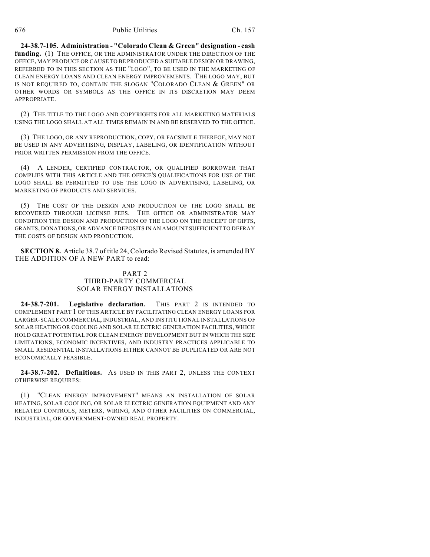**24-38.7-105. Administration - "Colorado Clean & Green" designation - cash funding.** (1) THE OFFICE, OR THE ADMINISTRATOR UNDER THE DIRECTION OF THE OFFICE, MAY PRODUCE OR CAUSE TO BE PRODUCED A SUITABLE DESIGN OR DRAWING, REFERRED TO IN THIS SECTION AS THE "LOGO", TO BE USED IN THE MARKETING OF CLEAN ENERGY LOANS AND CLEAN ENERGY IMPROVEMENTS. THE LOGO MAY, BUT IS NOT REQUIRED TO, CONTAIN THE SLOGAN "COLORADO CLEAN & GREEN" OR OTHER WORDS OR SYMBOLS AS THE OFFICE IN ITS DISCRETION MAY DEEM **APPROPRIATE** 

(2) THE TITLE TO THE LOGO AND COPYRIGHTS FOR ALL MARKETING MATERIALS USING THE LOGO SHALL AT ALL TIMES REMAIN IN AND BE RESERVED TO THE OFFICE.

(3) THE LOGO, OR ANY REPRODUCTION, COPY, OR FACSIMILE THEREOF, MAY NOT BE USED IN ANY ADVERTISING, DISPLAY, LABELING, OR IDENTIFICATION WITHOUT PRIOR WRITTEN PERMISSION FROM THE OFFICE.

(4) A LENDER, CERTIFIED CONTRACTOR, OR QUALIFIED BORROWER THAT COMPLIES WITH THIS ARTICLE AND THE OFFICE'S QUALIFICATIONS FOR USE OF THE LOGO SHALL BE PERMITTED TO USE THE LOGO IN ADVERTISING, LABELING, OR MARKETING OF PRODUCTS AND SERVICES.

(5) THE COST OF THE DESIGN AND PRODUCTION OF THE LOGO SHALL BE RECOVERED THROUGH LICENSE FEES. THE OFFICE OR ADMINISTRATOR MAY CONDITION THE DESIGN AND PRODUCTION OF THE LOGO ON THE RECEIPT OF GIFTS, GRANTS, DONATIONS, OR ADVANCE DEPOSITS IN AN AMOUNT SUFFICIENT TO DEFRAY THE COSTS OF DESIGN AND PRODUCTION.

**SECTION 8.** Article 38.7 of title 24, Colorado Revised Statutes, is amended BY THE ADDITION OF A NEW PART to read:

## PART 2 THIRD-PARTY COMMERCIAL SOLAR ENERGY INSTALLATIONS

**24-38.7-201. Legislative declaration.** THIS PART 2 IS INTENDED TO COMPLEMENT PART 1 OF THIS ARTICLE BY FACILITATING CLEAN ENERGY LOANS FOR LARGER-SCALE COMMERCIAL, INDUSTRIAL, AND INSTITUTIONAL INSTALLATIONS OF SOLAR HEATING OR COOLING AND SOLAR ELECTRIC GENERATION FACILITIES, WHICH HOLD GREAT POTENTIAL FOR CLEAN ENERGY DEVELOPMENT BUT IN WHICH THE SIZE LIMITATIONS, ECONOMIC INCENTIVES, AND INDUSTRY PRACTICES APPLICABLE TO SMALL RESIDENTIAL INSTALLATIONS EITHER CANNOT BE DUPLICATED OR ARE NOT ECONOMICALLY FEASIBLE.

**24-38.7-202. Definitions.** AS USED IN THIS PART 2, UNLESS THE CONTEXT OTHERWISE REQUIRES:

(1) "CLEAN ENERGY IMPROVEMENT" MEANS AN INSTALLATION OF SOLAR HEATING, SOLAR COOLING, OR SOLAR ELECTRIC GENERATION EQUIPMENT AND ANY RELATED CONTROLS, METERS, WIRING, AND OTHER FACILITIES ON COMMERCIAL, INDUSTRIAL, OR GOVERNMENT-OWNED REAL PROPERTY.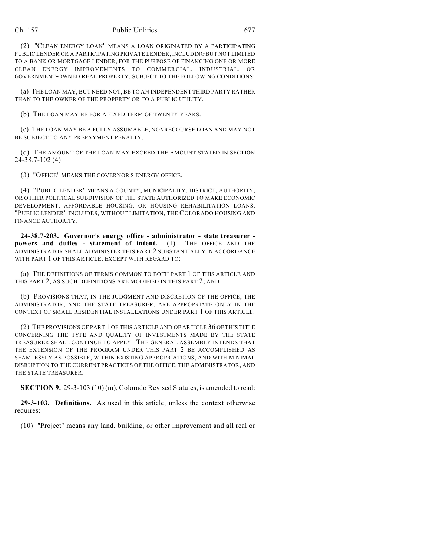### Ch. 157 Public Utilities 677

(2) "CLEAN ENERGY LOAN" MEANS A LOAN ORIGINATED BY A PARTICIPATING PUBLIC LENDER OR A PARTICIPATING PRIVATE LENDER, INCLUDING BUT NOT LIMITED TO A BANK OR MORTGAGE LENDER, FOR THE PURPOSE OF FINANCING ONE OR MORE CLEAN ENERGY IMPROVEMENTS TO COMMERCIAL, INDUSTRIAL, OR GOVERNMENT-OWNED REAL PROPERTY, SUBJECT TO THE FOLLOWING CONDITIONS:

(a) THE LOAN MAY, BUT NEED NOT, BE TO AN INDEPENDENT THIRD PARTY RATHER THAN TO THE OWNER OF THE PROPERTY OR TO A PUBLIC UTILITY.

(b) THE LOAN MAY BE FOR A FIXED TERM OF TWENTY YEARS.

(c) THE LOAN MAY BE A FULLY ASSUMABLE, NONRECOURSE LOAN AND MAY NOT BE SUBJECT TO ANY PREPAYMENT PENALTY.

(d) THE AMOUNT OF THE LOAN MAY EXCEED THE AMOUNT STATED IN SECTION 24-38.7-102 (4).

(3) "OFFICE" MEANS THE GOVERNOR'S ENERGY OFFICE.

(4) "PUBLIC LENDER" MEANS A COUNTY, MUNICIPALITY, DISTRICT, AUTHORITY, OR OTHER POLITICAL SUBDIVISION OF THE STATE AUTHORIZED TO MAKE ECONOMIC DEVELOPMENT, AFFORDABLE HOUSING, OR HOUSING REHABILITATION LOANS. "PUBLIC LENDER" INCLUDES, WITHOUT LIMITATION, THE COLORADO HOUSING AND FINANCE AUTHORITY.

**24-38.7-203. Governor's energy office - administrator - state treasurer powers and duties - statement of intent.** (1) THE OFFICE AND THE ADMINISTRATOR SHALL ADMINISTER THIS PART 2 SUBSTANTIALLY IN ACCORDANCE WITH PART 1 OF THIS ARTICLE, EXCEPT WITH REGARD TO:

(a) THE DEFINITIONS OF TERMS COMMON TO BOTH PART 1 OF THIS ARTICLE AND THIS PART 2, AS SUCH DEFINITIONS ARE MODIFIED IN THIS PART 2; AND

(b) PROVISIONS THAT, IN THE JUDGMENT AND DISCRETION OF THE OFFICE, THE ADMINISTRATOR, AND THE STATE TREASURER, ARE APPROPRIATE ONLY IN THE CONTEXT OF SMALL RESIDENTIAL INSTALLATIONS UNDER PART 1 OF THIS ARTICLE.

(2) THE PROVISIONS OF PART 1 OF THIS ARTICLE AND OF ARTICLE 36 OF THIS TITLE CONCERNING THE TYPE AND QUALITY OF INVESTMENTS MADE BY THE STATE TREASURER SHALL CONTINUE TO APPLY. THE GENERAL ASSEMBLY INTENDS THAT THE EXTENSION OF THE PROGRAM UNDER THIS PART 2 BE ACCOMPLISHED AS SEAMLESSLY AS POSSIBLE, WITHIN EXISTING APPROPRIATIONS, AND WITH MINIMAL DISRUPTION TO THE CURRENT PRACTICES OF THE OFFICE, THE ADMINISTRATOR, AND THE STATE TREASURER.

**SECTION 9.** 29-3-103 (10) (m), Colorado Revised Statutes, is amended to read:

**29-3-103. Definitions.** As used in this article, unless the context otherwise requires:

(10) "Project" means any land, building, or other improvement and all real or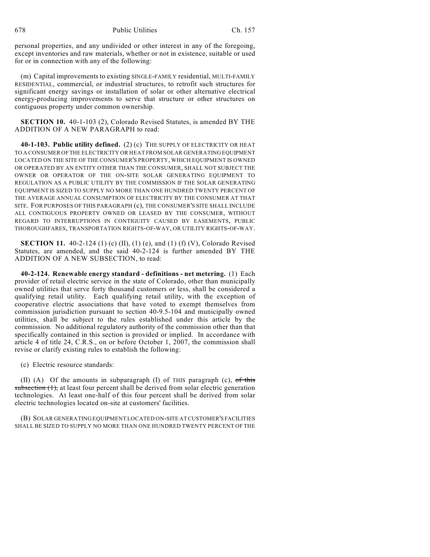personal properties, and any undivided or other interest in any of the foregoing, except inventories and raw materials, whether or not in existence, suitable or used for or in connection with any of the following:

(m) Capital improvements to existing SINGLE-FAMILY residential, MULTI-FAMILY RESIDENTIAL, commercial, or industrial structures, to retrofit such structures for significant energy savings or installation of solar or other alternative electrical energy-producing improvements to serve that structure or other structures on contiguous property under common ownership.

**SECTION 10.** 40-1-103 (2), Colorado Revised Statutes, is amended BY THE ADDITION OF A NEW PARAGRAPH to read:

**40-1-103. Public utility defined.** (2) (c) THE SUPPLY OF ELECTRICITY OR HEAT TO A CONSUMER OF THE ELECTRICITY OR HEAT FROM SOLAR GENERATING EQUIPMENT LOCATED ON THE SITE OF THE CONSUMER'S PROPERTY, WHICH EQUIPMENT IS OWNED OR OPERATED BY AN ENTITY OTHER THAN THE CONSUMER, SHALL NOT SUBJECT THE OWNER OR OPERATOR OF THE ON-SITE SOLAR GENERATING EQUIPMENT TO REGULATION AS A PUBLIC UTILITY BY THE COMMISSION IF THE SOLAR GENERATING EQUIPMENT IS SIZED TO SUPPLY NO MORE THAN ONE HUNDRED TWENTY PERCENT OF THE AVERAGE ANNUAL CONSUMPTION OF ELECTRICITY BY THE CONSUMER AT THAT SITE. FOR PURPOSES OF THIS PARAGRAPH (c), THE CONSUMER'S SITE SHALL INCLUDE ALL CONTIGUOUS PROPERTY OWNED OR LEASED BY THE CONSUMER, WITHOUT REGARD TO INTERRUPTIONS IN CONTIGUITY CAUSED BY EASEMENTS, PUBLIC THOROUGHFARES, TRANSPORTATION RIGHTS-OF-WAY, OR UTILITY RIGHTS-OF-WAY.

**SECTION 11.** 40-2-124 (1) (c) (II), (1) (e), and (1) (f) (V), Colorado Revised Statutes, are amended, and the said 40-2-124 is further amended BY THE ADDITION OF A NEW SUBSECTION, to read:

**40-2-124. Renewable energy standard - definitions - net metering.** (1) Each provider of retail electric service in the state of Colorado, other than municipally owned utilities that serve forty thousand customers or less, shall be considered a qualifying retail utility. Each qualifying retail utility, with the exception of cooperative electric associations that have voted to exempt themselves from commission jurisdiction pursuant to section 40-9.5-104 and municipally owned utilities, shall be subject to the rules established under this article by the commission. No additional regulatory authority of the commission other than that specifically contained in this section is provided or implied. In accordance with article 4 of title 24, C.R.S., on or before October 1, 2007, the commission shall revise or clarify existing rules to establish the following:

(c) Electric resource standards:

(II) (A) Of the amounts in subparagraph (I) of THIS paragraph (c), of this  $subsection (1)$ , at least four percent shall be derived from solar electric generation technologies. At least one-half of this four percent shall be derived from solar electric technologies located on-site at customers' facilities.

(B) SOLAR GENERATING EQUIPMENT LOCATED ON-SITE AT CUSTOMER'S FACILITIES SHALL BE SIZED TO SUPPLY NO MORE THAN ONE HUNDRED TWENTY PERCENT OF THE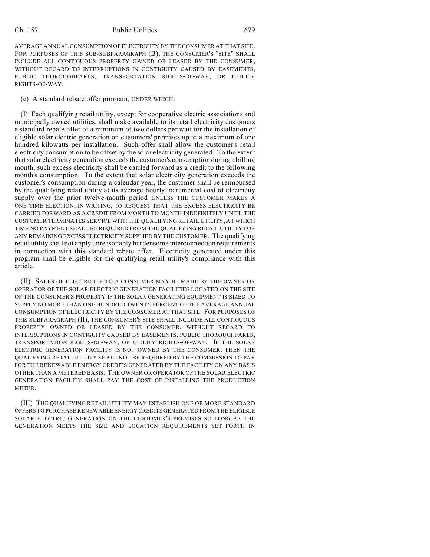## Ch. 157 Public Utilities 679

AVERAGE ANNUAL CONSUMPTION OF ELECTRICITY BY THE CONSUMER AT THAT SITE. FOR PURPOSES OF THIS SUB-SUBPARAGRAPH (B), THE CONSUMER'S "SITE" SHALL INCLUDE ALL CONTIGUOUS PROPERTY OWNED OR LEASED BY THE CONSUMER, WITHOUT REGARD TO INTERRUPTIONS IN CONTIGUITY CAUSED BY EASEMENTS, PUBLIC THOROUGHFARES, TRANSPORTATION RIGHTS-OF-WAY, OR UTILITY RIGHTS-OF-WAY.

(e) A standard rebate offer program, UNDER WHICH:

(I) Each qualifying retail utility, except for cooperative electric associations and municipally owned utilities, shall make available to its retail electricity customers a standard rebate offer of a minimum of two dollars per watt for the installation of eligible solar electric generation on customers' premises up to a maximum of one hundred kilowatts per installation. Such offer shall allow the customer's retail electricity consumption to be offset by the solar electricity generated. To the extent that solar electricity generation exceeds the customer's consumption during a billing month, such excess electricity shall be carried forward as a credit to the following month's consumption. To the extent that solar electricity generation exceeds the customer's consumption during a calendar year, the customer shall be reimbursed by the qualifying retail utility at its average hourly incremental cost of electricity supply over the prior twelve-month period UNLESS THE CUSTOMER MAKES A ONE-TIME ELECTION, IN WRITING, TO REQUEST THAT THE EXCESS ELECTRICITY BE CARRIED FORWARD AS A CREDIT FROM MONTH TO MONTH INDEFINITELY UNTIL THE CUSTOMER TERMINATES SERVICE WITH THE QUALIFYING RETAIL UTILITY, AT WHICH TIME NO PAYMENT SHALL BE REQUIRED FROM THE QUALIFYING RETAIL UTILITY FOR ANY REMAINING EXCESS ELECTRICITY SUPPLIED BY THE CUSTOMER. The qualifying retail utility shall not apply unreasonably burdensome interconnection requirements in connection with this standard rebate offer. Electricity generated under this program shall be eligible for the qualifying retail utility's compliance with this article.

(II) SALES OF ELECTRICITY TO A CONSUMER MAY BE MADE BY THE OWNER OR OPERATOR OF THE SOLAR ELECTRIC GENERATION FACILITIES LOCATED ON THE SITE OF THE CONSUMER'S PROPERTY IF THE SOLAR GENERATING EQUIPMENT IS SIZED TO SUPPLY NO MORE THAN ONE HUNDRED TWENTY PERCENT OF THE AVERAGE ANNUAL CONSUMPTION OF ELECTRICITY BY THE CONSUMER AT THAT SITE. FOR PURPOSES OF THIS SUBPARAGRAPH (II), THE CONSUMER'S SITE SHALL INCLUDE ALL CONTIGUOUS PROPERTY OWNED OR LEASED BY THE CONSUMER, WITHOUT REGARD TO INTERRUPTIONS IN CONTIGUITY CAUSED BY EASEMENTS, PUBLIC THOROUGHFARES, TRANSPORTATION RIGHTS-OF-WAY, OR UTILITY RIGHTS-OF-WAY. IF THE SOLAR ELECTRIC GENERATION FACILITY IS NOT OWNED BY THE CONSUMER, THEN THE QUALIFYING RETAIL UTILITY SHALL NOT BE REQUIRED BY THE COMMISSION TO PAY FOR THE RENEWABLE ENERGY CREDITS GENERATED BY THE FACILITY ON ANY BASIS OTHER THAN A METERED BASIS. THE OWNER OR OPERATOR OF THE SOLAR ELECTRIC GENERATION FACILITY SHALL PAY THE COST OF INSTALLING THE PRODUCTION METER.

(III) THE QUALIFYING RETAIL UTILITY MAY ESTABLISH ONE OR MORE STANDARD OFFERS TO PURCHASE RENEWABLE ENERGY CREDITS GENERATED FROM THE ELIGIBLE SOLAR ELECTRIC GENERATION ON THE CUSTOMER'S PREMISES SO LONG AS THE GENERATION MEETS THE SIZE AND LOCATION REQUIREMENTS SET FORTH IN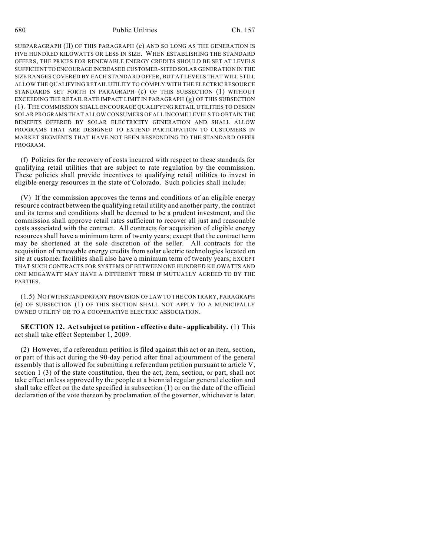SUBPARAGRAPH (II) OF THIS PARAGRAPH (e) AND SO LONG AS THE GENERATION IS FIVE HUNDRED KILOWATTS OR LESS IN SIZE. WHEN ESTABLISHING THE STANDARD OFFERS, THE PRICES FOR RENEWABLE ENERGY CREDITS SHOULD BE SET AT LEVELS SUFFICIENT TO ENCOURAGE INCREASED CUSTOMER-SITED SOLAR GENERATION IN THE SIZE RANGES COVERED BY EACH STANDARD OFFER, BUT AT LEVELS THAT WILL STILL ALLOW THE QUALIFYING RETAIL UTILITY TO COMPLY WITH THE ELECTRIC RESOURCE STANDARDS SET FORTH IN PARAGRAPH (c) OF THIS SUBSECTION (1) WITHOUT EXCEEDING THE RETAIL RATE IMPACT LIMIT IN PARAGRAPH (g) OF THIS SUBSECTION (1). THE COMMISSION SHALL ENCOURAGE QUALIFYING RETAIL UTILITIES TO DESIGN SOLAR PROGRAMS THAT ALLOW CONSUMERS OF ALL INCOME LEVELS TO OBTAIN THE BENEFITS OFFERED BY SOLAR ELECTRICITY GENERATION AND SHALL ALLOW PROGRAMS THAT ARE DESIGNED TO EXTEND PARTICIPATION TO CUSTOMERS IN MARKET SEGMENTS THAT HAVE NOT BEEN RESPONDING TO THE STANDARD OFFER PROGRAM.

(f) Policies for the recovery of costs incurred with respect to these standards for qualifying retail utilities that are subject to rate regulation by the commission. These policies shall provide incentives to qualifying retail utilities to invest in eligible energy resources in the state of Colorado. Such policies shall include:

(V) If the commission approves the terms and conditions of an eligible energy resource contract between the qualifying retail utility and another party, the contract and its terms and conditions shall be deemed to be a prudent investment, and the commission shall approve retail rates sufficient to recover all just and reasonable costs associated with the contract. All contracts for acquisition of eligible energy resources shall have a minimum term of twenty years; except that the contract term may be shortened at the sole discretion of the seller. All contracts for the acquisition of renewable energy credits from solar electric technologies located on site at customer facilities shall also have a minimum term of twenty years; EXCEPT THAT SUCH CONTRACTS FOR SYSTEMS OF BETWEEN ONE HUNDRED KILOWATTS AND ONE MEGAWATT MAY HAVE A DIFFERENT TERM IF MUTUALLY AGREED TO BY THE PARTIES.

(1.5) NOTWITHSTANDING ANY PROVISION OF LAW TO THE CONTRARY, PARAGRAPH (e) OF SUBSECTION (1) OF THIS SECTION SHALL NOT APPLY TO A MUNICIPALLY OWNED UTILITY OR TO A COOPERATIVE ELECTRIC ASSOCIATION.

**SECTION 12. Act subject to petition - effective date - applicability.** (1) This act shall take effect September 1, 2009.

(2) However, if a referendum petition is filed against this act or an item, section, or part of this act during the 90-day period after final adjournment of the general assembly that is allowed for submitting a referendum petition pursuant to article V, section 1 (3) of the state constitution, then the act, item, section, or part, shall not take effect unless approved by the people at a biennial regular general election and shall take effect on the date specified in subsection (1) or on the date of the official declaration of the vote thereon by proclamation of the governor, whichever is later.